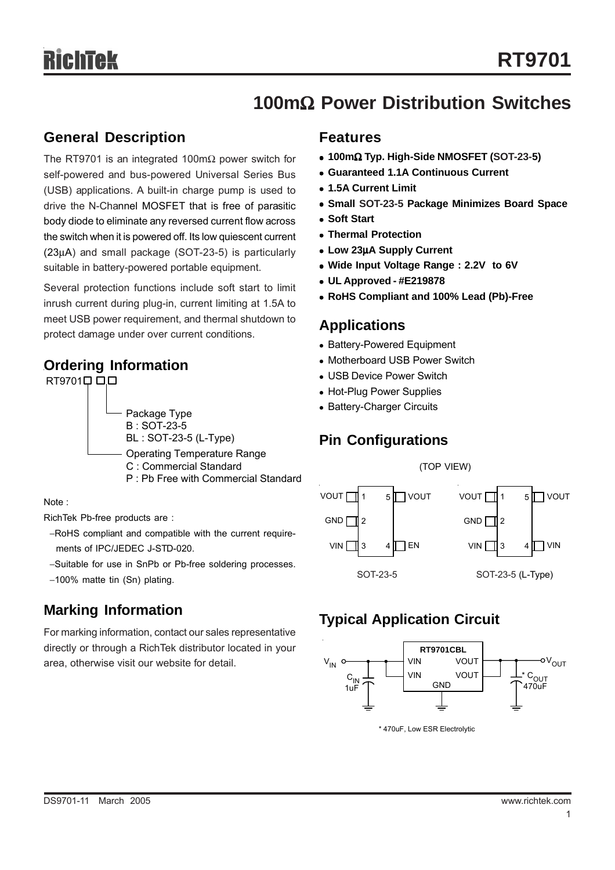## **100m**Ω **Power Distribution Switches**

### **General Description**

The RT9701 is an integrated 100mΩ power switch for self-powered and bus-powered Universal Series Bus (USB) applications. A built-in charge pump is used to drive the N-Channel MOSFET that is free of parasitic body diode to eliminate any reversed current flow across the switch when it is powered off. Its low quiescent current (23μA) and small package (SOT-23-5) is particularly suitable in battery-powered portable equipment.

Several protection functions include soft start to limit inrush current during plug-in, current limiting at 1.5A to meet USB power requirement, and thermal shutdown to protect damage under over current conditions.<br>**Protect damage under over current conditions**.

### **Ordering Information**



Note :

RichTek Pb-free products are :

- −RoHS compliant and compatible with the current require ments of IPC/JEDEC J-STD-020.
- −Suitable for use in SnPb or Pb-free soldering processes.

## **Marking Information**

For marking information, contact our sales representative directly or through a RichTek distributor located in your area, otherwise visit our website for detail.

### **Features**

- <sup>z</sup> **100m**Ω **Typ. High-Side NMOSFET (SOT-23-5)**
- **Guaranteed 1.1A Continuous Current**
- <sup>z</sup> **1.5A Current Limit**
- **Small SOT-23-5 Package Minimizes Board Space**
- **Soft Start**
- <sup>z</sup> **Thermal Protection**
- <sup>z</sup> **Low 23**μ**A Supply Current**
- Wide Input Voltage Range : 2.2V to 6V
- <sup>z</sup> **UL Approved #E219878**
- <sup>z</sup> **RoHS Compliant and 100% Lead (Pb)-Free**

- Battery-Powered Equipment
- Motherboard USB Power Switch
- USB Device Power Switch
- Hot-Plug Power Supplies
- Battery-Charger Circuits

## **Pin Configurations**



## **Typical Application Circuit**



\* 470uF, Low ESR Electrolytic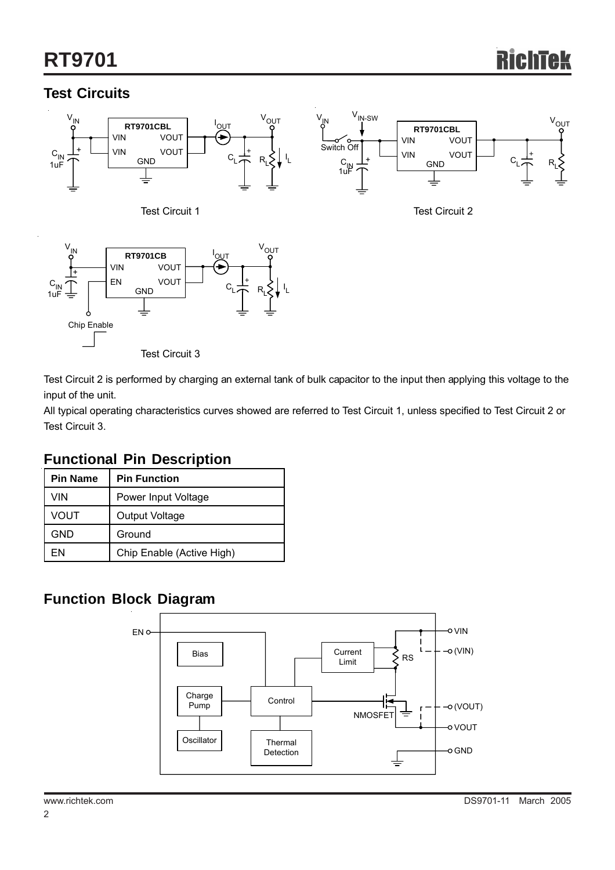# **RT9701**

## **Test Circuits**



Test Circuit 3

Test Circuit 2 is performed by charging an external tank of bulk capacitor to the input then applying this voltage to the input of the unit.

All typical operating characteristics curves showed are referred to Test Circuit 1, unless specified to Test Circuit 2 or Test Circuit 3.

## **Functional Pin Description**

| <b>Pin Name</b> | <b>Pin Function</b>       |  |  |  |
|-----------------|---------------------------|--|--|--|
| VIN             | Power Input Voltage       |  |  |  |
| VOUT            | Output Voltage            |  |  |  |
| GND             | Ground                    |  |  |  |
| FN              | Chip Enable (Active High) |  |  |  |

## **Function Block Diagram**

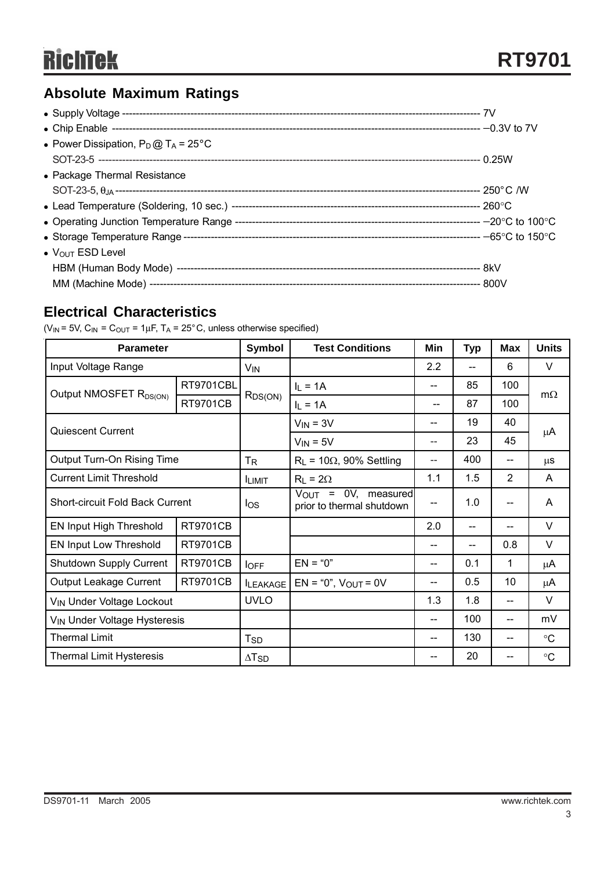## **Absolute Maximum Ratings**

| • Power Dissipation, $P_D @ T_A = 25^{\circ}C$ |  |
|------------------------------------------------|--|
|                                                |  |
| • Package Thermal Resistance                   |  |
|                                                |  |
|                                                |  |
|                                                |  |
|                                                |  |
| $\bullet$ $V_{\text{OUT}}$ ESD Level           |  |
|                                                |  |
|                                                |  |

## **Electrical Characteristics**

( $V_{IN}$  = 5V,  $C_{IN}$  =  $C_{OUT}$  = 1 $\mu$ F, T<sub>A</sub> = 25°C, unless otherwise specified)

| <b>Parameter</b>                         |                 | <b>Symbol</b>            | <b>Test Conditions</b>                                | Min              | <b>Typ</b> | <b>Max</b>               | <b>Units</b>    |
|------------------------------------------|-----------------|--------------------------|-------------------------------------------------------|------------------|------------|--------------------------|-----------------|
| Input Voltage Range                      |                 | V <sub>IN</sub>          |                                                       | $2.2\phantom{0}$ | $-$        | 6                        | V               |
| Output NMOSFET R <sub>DS(ON)</sub>       | RT9701CBL       | $R_{DS(ON)}$             | $I_L = 1A$                                            | $-$              | 85         | 100                      | $m\Omega$       |
|                                          | <b>RT9701CB</b> |                          | $I_L = 1A$                                            | --               | 87         | 100                      |                 |
| Quiescent Current                        |                 |                          | $V_{IN} = 3V$                                         | --               | 19         | 40                       |                 |
|                                          |                 |                          | $V_{IN} = 5V$                                         | $-$              | 23         | 45                       | μA              |
| Output Turn-On Rising Time               |                 | $T_{\mathsf{R}}$         | $R_L$ = 10 $\Omega$ , 90% Settling                    | $-$              | 400        | $-$                      | $\mu$ S         |
| <b>Current Limit Threshold</b>           |                 | <b>ILIMIT</b>            | $R_L = 2\Omega$                                       | 1.1              | 1.5        | 2                        | A               |
| <b>Short-circuit Fold Back Current</b>   |                 | $\log$                   | $V_{OUT}$ = 0V, measured<br>prior to thermal shutdown | $-$              | 1.0        | $-$                      | A               |
| EN Input High Threshold                  | <b>RT9701CB</b> |                          |                                                       | 2.0              | --         | $\overline{\phantom{a}}$ | $\vee$          |
| EN Input Low Threshold                   | <b>RT9701CB</b> |                          |                                                       |                  |            | 0.8                      | V               |
| Shutdown Supply Current                  | <b>RT9701CB</b> | $I_{OFF}$                | $EN = "0"$                                            | --               | 0.1        | 1                        | μA              |
| Output Leakage Current                   | <b>RT9701CB</b> | <b>ILEAKAGE</b>          | $EN = "0", VOUT = 0V$                                 | --               | 0.5        | 10                       | μA              |
| V <sub>IN</sub> Under Voltage Lockout    |                 | <b>UVLO</b>              |                                                       | 1.3              | 1.8        | $-$                      | $\vee$          |
| V <sub>IN</sub> Under Voltage Hysteresis |                 |                          |                                                       | $-$              | 100        | $-$                      | mV              |
| <b>Thermal Limit</b>                     |                 | T <sub>SD</sub>          |                                                       | --               | 130        | $-$                      | $\rm ^{\circ}C$ |
| <b>Thermal Limit Hysteresis</b>          |                 | $\Delta$ T <sub>SD</sub> |                                                       | --               | 20         | --                       | $\rm ^{\circ}C$ |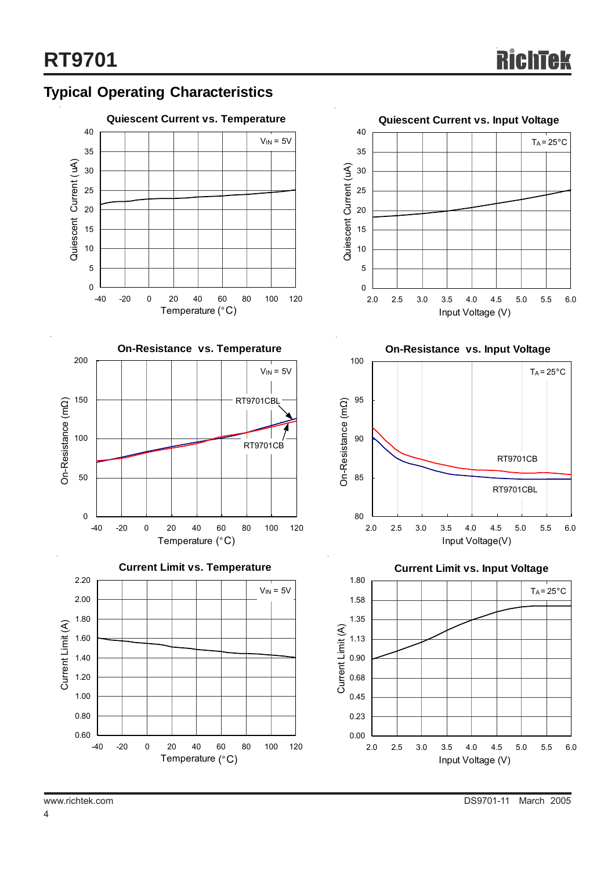

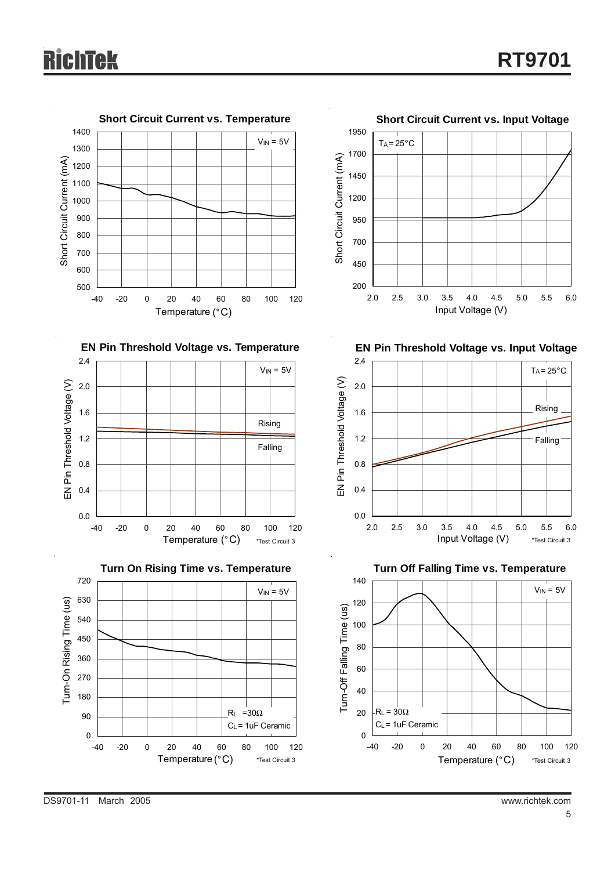









**EN Pin Threshold Voltage vs. Input Voltage** 

Input Voltage (V)



**Turn Off Falling Time vs. Temperature**

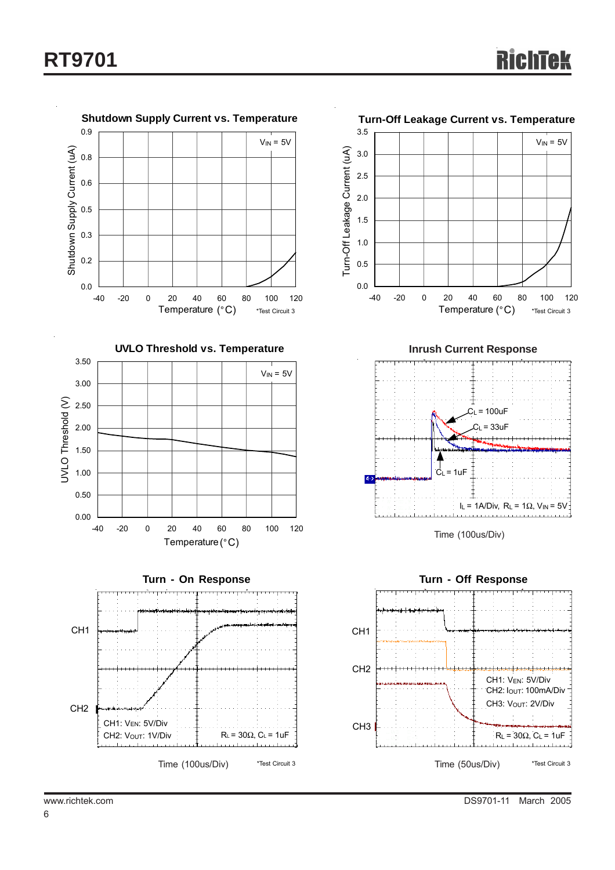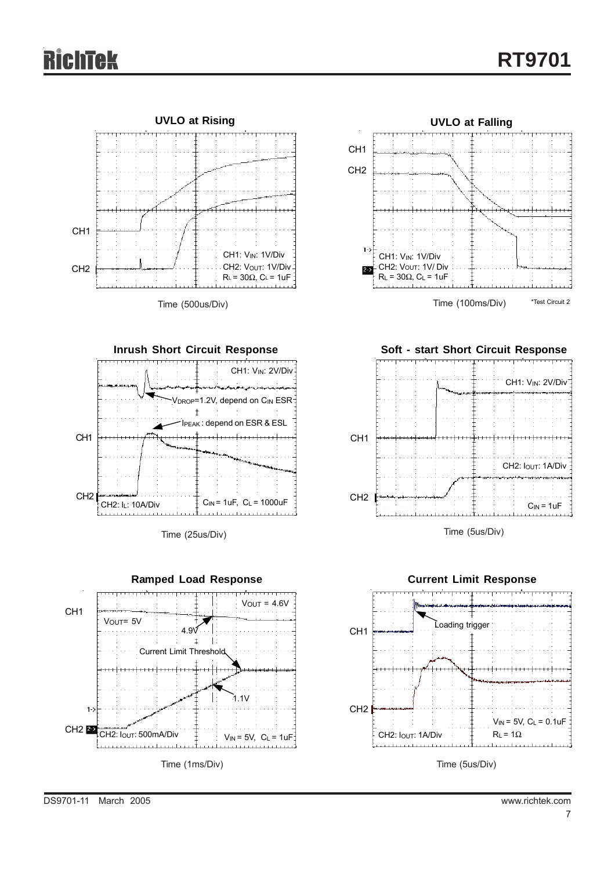

Time (500us/Div)



Time (25us/Div)







Time (5us/Div)



Time (5us/Div)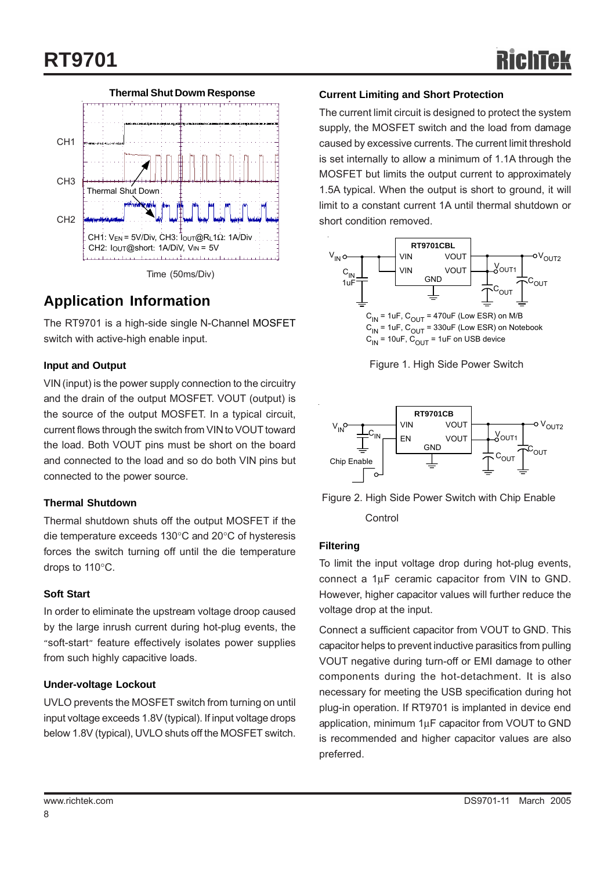

## **Application Information**

The RT9701 is a high-side single N-Channel MOSFET switch with active-high enable input.

### **Input and Output**

VIN (input) is the power supply connection to the circuitry and the drain of the output MOSFET. VOUT (output) is the source of the output MOSFET. In a typical circuit, current flows through the switch from VIN to VOUT toward the load. Both VOUT pins must be short on the board and connected to the load and so do both VIN pins but connected to the power source.

### **Thermal Shutdown**

Thermal shutdown shuts off the output MOSFET if the die temperature exceeds 130°C and 20°C of hysteresis forces the switch turning off until the die temperature drops to 110°C.

### **Soft Start**

In order to eliminate the upstream voltage droop caused by the large inrush current during hot-plug events, the "soft-start" feature effectively isolates power supplies from such highly capacitive loads.

### **Under-voltage Lockout**

UVLO prevents the MOSFET switch from turning on until input voltage exceeds 1.8V (typical). If input voltage drops below 1.8V (typical), UVLO shuts off the MOSFET switch.

### **Current Limiting and Short Protection**

The current limit circuit is designed to protect the system supply, the MOSFET switch and the load from damage caused by excessive currents. The current limit threshold is set internally to allow a minimum of 1.1A through the MOSFET but limits the output current to approximately 1.5A typical. When the output is short to ground, it will limit to a constant current 1A until thermal shutdown or short condition removed.



Figure 1. High Side Power Switch



 Figure 2. High Side Power Switch with Chip Enable **Control** 

### **Filtering**

To limit the input voltage drop during hot-plug events, connect a 1μF ceramic capacitor from VIN to GND. However, higher capacitor values will further reduce the voltage drop at the input.

Connect a sufficient capacitor from VOUT to GND. This capacitor helps to prevent inductive parasitics from pulling VOUT negative during turn-off or EMI damage to other components during the hot-detachment. It is also necessary for meeting the USB specification during hot plug-in operation. If RT9701 is implanted in device end application, minimum 1μF capacitor from VOUT to GND is recommended and higher capacitor values are also preferred.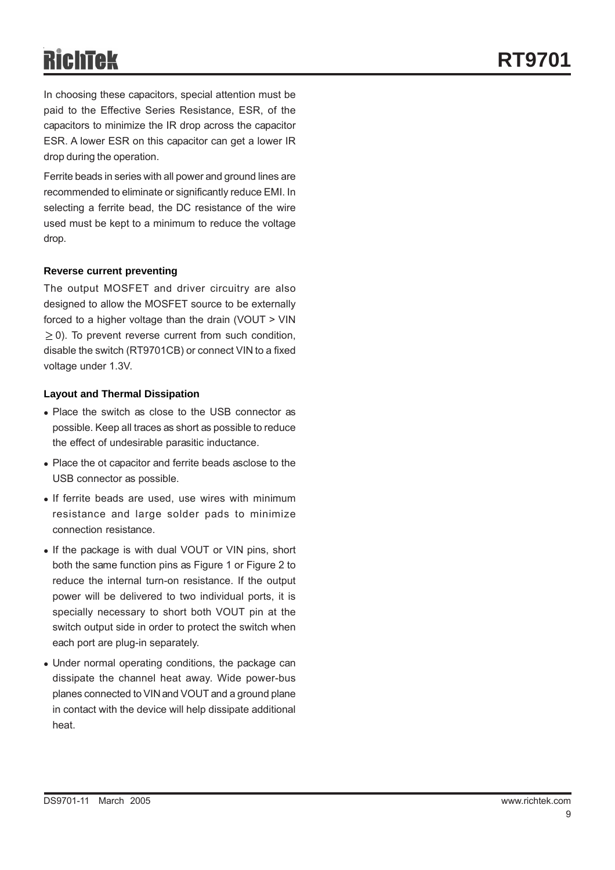In choosing these capacitors, special attention must be paid to the Effective Series Resistance, ESR, of the capacitors to minimize the IR drop across the capacitor ESR. A lower ESR on this capacitor can get a lower IR drop during the operation.

Ferrite beads in series with all power and ground lines are recommended to eliminate or significantly reduce EMI. In selecting a ferrite bead, the DC resistance of the wire used must be kept to a minimum to reduce the voltage drop.

### **Reverse current preventing**

The output MOSFET and driver circuitry are also designed to allow the MOSFET source to be externally forced to a higher voltage than the drain (VOUT > VIN  $\geq$  0). To prevent reverse current from such condition, disable the switch (RT9701CB) or connect VIN to a fixed voltage under 1.3V.

### **Layout and Thermal Dissipation**

- Place the switch as close to the USB connector as possible. Keep all traces as short as possible to reduce the effect of undesirable parasitic inductance.
- Place the ot capacitor and ferrite beads asclose to the USB connector as possible.
- If ferrite beads are used, use wires with minimum resistance and large solder pads to minimize connection resistance.
- If the package is with dual VOUT or VIN pins, short both the same function pins as Figure 1 or Figure 2 to reduce the internal turn-on resistance. If the output power will be delivered to two individual ports, it is specially necessary to short both VOUT pin at the switch output side in order to protect the switch when each port are plug-in separately.
- Under normal operating conditions, the package can dissipate the channel heat away. Wide power-bus planes connected to VIN and VOUT and a ground plane in contact with the device will help dissipate additional heat.